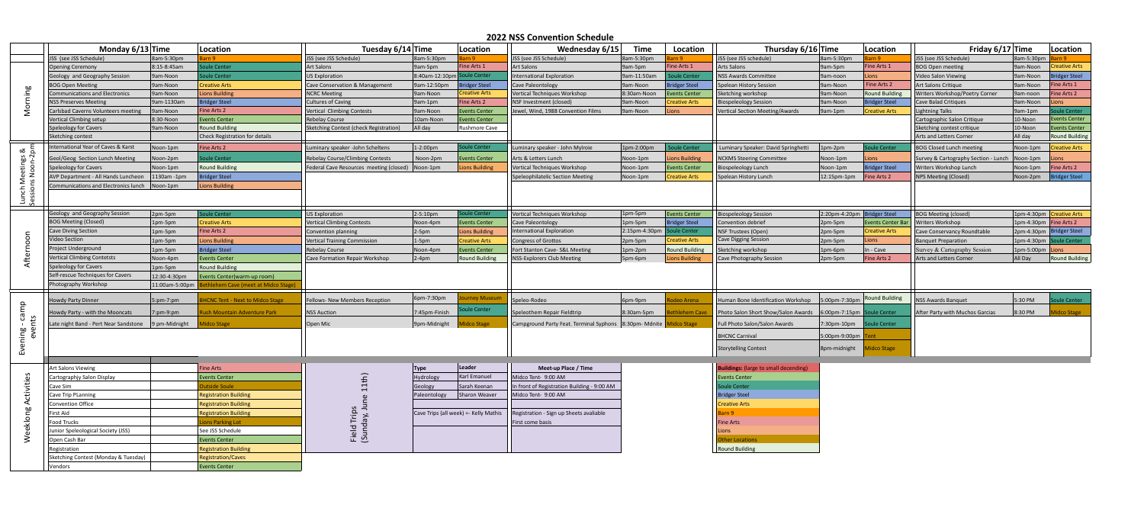## **2022 NSS Convention Schedule**

|                                  | Monday $6/13$ Time                                                                          |                                                                            | Location                               | Tuesday 6/14 Time<br>Location                     |                        |                                      | Wednesday 6/15<br><b>Time</b>                                          |               | Thursday 6/16 Time<br>Location |                                                                     |                             | Location               | Friday $6/17$ Time                   |                    | Location                 |
|----------------------------------|---------------------------------------------------------------------------------------------|----------------------------------------------------------------------------|----------------------------------------|---------------------------------------------------|------------------------|--------------------------------------|------------------------------------------------------------------------|---------------|--------------------------------|---------------------------------------------------------------------|-----------------------------|------------------------|--------------------------------------|--------------------|--------------------------|
|                                  | JSS (see JSS Schedule)                                                                      | 8am-5:30pm                                                                 |                                        | JSS (see JSS Schedule)                            | 8am-5:30pm             |                                      | JSS (see JSS Schedule)                                                 | 8am-5:30pm    |                                | JSS (see JSS schedule)                                              | 8am-5:30pm                  |                        | JSS (see JSS Schedule)               | 8am-5:30pm         |                          |
| <b>bo</b>                        | <b>Opening Ceremony</b>                                                                     | $8:15 - 8:45am$                                                            | oule Center                            | <b>Art Salons</b>                                 | 9am-5pm                | Fine Arts 1                          | <b>Art Salons</b>                                                      | 9am-5pm       | Fine Arts 1                    | <b>Arts Salons</b>                                                  | 9am-5pm                     | Fine Arts 1            | <b>BOG Open meeting</b>              | 9am-Noon           | reative Arts             |
|                                  | Geology and Geography Session                                                               | 9am-Noon                                                                   | oule Center                            | <b>US Exploration</b>                             | $ 8:40$ am-12:10pm $ $ | pule Center                          | International Exploration                                              | 9am-11:50am   | oule Center                    | NSS Awards Committee                                                | 9am-noon                    | Lions                  | Video Salon Viewing                  | 9am-Noon           | ridger Steel             |
|                                  | <b>BOG Open Meeting</b>                                                                     | 9am-Noon                                                                   | <b>Creative Arts</b>                   | Cave Conservation & Management                    | 9am-12:50pm            | <b>Bridger Steel</b>                 | <b>Cave Paleontology</b>                                               | 9am-Noon      | <b>Bridger Steel</b>           | Spelean History Session                                             | 9am-Noon                    | Fine Arts 2            | Art Salons Critique                  | 9am-Noon           | ine Arts 1               |
|                                  | <b>Communications and Electronics</b>                                                       | 9am-Noon                                                                   | <b>Lions Building</b>                  | <b>NCRC Meeting</b>                               | 9am-Noon               | <b>Creative Arts</b>                 | Vertical Techniques Workshop                                           | 8:30am-Noon   | Events Center                  | Sketching workshop                                                  | 9am-Noon                    | <b>Round Building</b>  | Writers Workshop/Poetry Corner       | 9am-noon           | ine Arts 2               |
|                                  | <b>NSS Preserves Meeting</b>                                                                | 9am-1130am                                                                 | <b>Bridger Steel</b>                   | <b>Cultures of Caving</b>                         | 9am-1pm                | Fine Arts 2                          | NSF Investment (closed)                                                | 9am-Noon      | <b>Creative Arts</b>           | <b>Biospeleology Session</b>                                        | 9am-Noon                    | <b>Bridger Steel</b>   | <b>Cave Balad Critiques</b>          | 9am-Noon           | ons                      |
|                                  | <b>Carlsbad Caverns Volunteers meeting</b>                                                  | 9am-Noon                                                                   | Fine Arts 2                            | Vertical Climbing Contests                        | 9am-Noon               | <b>Events Center</b>                 | Jewel, Wind, 1988 Convention Films                                     | 9am-Noon      | Lions                          | Vertical Section Meeting/Awards                                     | $\sqrt{9}$ am-1pm           | <b>Creative Arts</b>   | <b>Lightning Talks</b>               | $3am-1pm$          | <b>pule Center</b>       |
|                                  | Vertical Climbing setup                                                                     | 8:30-Noon                                                                  | <b>Events Center</b>                   | <b>Rebelay Course</b>                             | 10am-Noon              | <b>Events Center</b>                 |                                                                        |               |                                |                                                                     |                             |                        | Cartographic Salon Critique          | 10-Noon            | <b>Events Center</b>     |
|                                  | <b>Speleology for Cavers</b>                                                                | 9am-Noon                                                                   | <b>Round Building</b>                  | Sketching Contest (check Registration)<br>All day |                        | Rushmore Cave                        |                                                                        |               |                                |                                                                     |                             |                        | Sketching contest critique           | 10-Noon            | Events Center            |
|                                  | <b>Sketching contest</b>                                                                    |                                                                            | <b>Check Registration for details</b>  |                                                   |                        |                                      |                                                                        |               |                                |                                                                     |                             |                        | <b>Arts and Letters Corner</b>       | All day            | <b>Round Building</b>    |
| $\epsilon$<br>∞<br>igs           | International Year of Caves & Karst                                                         | Noon-1pm                                                                   | Fine Arts 2                            | Luminary speaker -John Scheltens                  | $1-2:00pm$             | Soule Center                         | Luminary speaker - John Mylroie                                        | 1pm-2:00pm    | Soule Center                   | Luminary Speaker: David Springhetti                                 | $1pm-2pm$                   | Soule Center           | <b>BOG Closed Lunch meeting</b>      | Noon-1pm           | <b>Creative Arts</b>     |
|                                  | Geol/Geog Section Lunch Meeting                                                             | Noon-2pm                                                                   | oule Center                            | <b>Rebelay Course/Climbing Contests</b>           | Noon-2pm               | <b>Events Center</b>                 | Arts & Letters Lunch                                                   | Noon-1pm      | <b>Lions Building</b>          | <b>NCKMS Steering Committee</b>                                     | Noon-1pm                    | Lions                  | Survey & Cartography Section - Lunch | Noon-1pm           | .ions                    |
|                                  | Speleology for Cavers                                                                       | Noon-1pm                                                                   | <b>Round Building</b>                  | Federal Cave Resources meeting (closed)           | Noon-1pm               | <b>Lions Building</b>                | Vertical Techniques Workshop                                           | Noon-1pm      | <b>Events Center</b>           | <b>Biospeleology Lunch</b>                                          | Noon-1pm                    | <b>Bridger Steel</b>   | <b>Writers Workshop Lunch</b>        | Noon-1pm           | Fine Arts 2              |
|                                  | AVP Department - All Hands Luncheon<br>1130am -1pm                                          |                                                                            | <b>Bridger Steel</b>                   |                                                   |                        |                                      | Speleophilatelic Section Meeting                                       | Noon-1pm      | <b>Creative Arts</b>           | Spelean History Lunch                                               | $12:15$ pm-1pm              | <b>Fine Arts 2</b>     | <b>NPS Meeting (Closed)</b>          | Noon-2pm           | Bridger Steel            |
|                                  | Communications and Electronics lunch<br>Noon-1pm<br><b>Lions Building</b>                   |                                                                            |                                        |                                                   |                        |                                      |                                                                        |               |                                |                                                                     |                             |                        |                                      |                    |                          |
|                                  |                                                                                             |                                                                            |                                        |                                                   |                        |                                      |                                                                        |               |                                |                                                                     |                             |                        |                                      |                    |                          |
|                                  |                                                                                             |                                                                            |                                        |                                                   |                        |                                      |                                                                        |               |                                |                                                                     |                             |                        |                                      |                    |                          |
| $\circ$<br>$\circ$               | Geology and Geography Session                                                               | 2pm-5pm                                                                    | Soule Center                           | <b>US Exploration</b>                             | $2-5:10pm$             | oule Center                          | Vertical Techniques Workshop                                           | 1pm-5pm       | <b>Events Center</b>           | <b>Biospeleology Session</b>                                        | 2:20pm-4:20pm Bridger Steel |                        | <b>BOG Meeting (closed)</b>          |                    | 1pm-4:30pm Creative Arts |
|                                  | <b>BOG Meeting (Closed)</b>                                                                 | 1pm-5pm                                                                    | <b>Creative Arts</b>                   | <b>Vertical Climbing Contests</b>                 | Noon-4pm               | <b>Events Center</b>                 | <b>Cave Paleontology</b>                                               | 1pm-5pm       | <b>Bridger Steel</b>           | Convention debrief                                                  | 2pm-5pm                     | <b>Events Center B</b> | <b>Writers Workshop</b>              |                    | 1pm-4:30pm  Fine Arts 2  |
|                                  | <b>Cave Diving Section</b>                                                                  | 1pm-5pm                                                                    | Fine Arts 2                            | Convention planning                               | $2-5pm$                | <b>Lions Building</b>                | International Exploration                                              | 2:15pm-4:30pm | oule Center                    | NSF Trustees (Open)                                                 | 2pm-5pm                     | <b>Creative Arts</b>   | Cave Conservancy Roundtable          | 2pm-4:30pm         | <b>Bridger Steel</b>     |
|                                  | Video Section                                                                               | 1pm-5pm                                                                    | <b>Lions Building</b>                  | <b>Vertical Training Commission</b>               | $1-5pm$                | <b>Creative Arts</b>                 | <b>Congress of Grottos</b>                                             | 2pm-5pm       | <b>Creative Arts</b>           | <b>Cave Digging Session</b>                                         | 2pm-5pm                     | Lions                  | <b>Banquet Preparation</b>           | 1pm-4:30pm $\vert$ | Soule Center             |
|                                  | Project Underground                                                                         | 1pm-5pm                                                                    | Bridger Steel                          | <b>Rebelay Course</b>                             | Noon-4pm               | <b>Events Center</b>                 | Fort Stanton Cave- S&L Meeting                                         | 1pm-2pm       | <b>Round Building</b>          | Sketching workshop                                                  | 1pm-6pm                     | In - Cave              | Survey & Cartography Session         | 1pm-5:00pm         | Lions                    |
|                                  | <b>Vertical Climbing Contetsts</b>                                                          | Noon-4pm                                                                   | <b>Events Center</b>                   | <b>Cave Formation Repair Workshop</b>             | $2-4pm$                | <b>Round Building</b>                | <b>NSS-Explorers Club Meeting</b>                                      | 5pm-6pm       | Lions Building                 |                                                                     | $2pm-5pm$                   | Fine Arts 2            | <b>Arts and Letters Corner</b>       | All Day            | <b>Round Building</b>    |
|                                  | Speleology for Cavers                                                                       |                                                                            | <b>Round Building</b>                  |                                                   |                        |                                      |                                                                        |               |                                | <b>Cave Photography Session</b>                                     |                             |                        |                                      |                    |                          |
|                                  | 1pm-5pm<br>Self-rescue Techniques for Cavers<br>12:30-4:30pm<br>Events Center(warm-up room) |                                                                            |                                        |                                                   |                        |                                      |                                                                        |               |                                |                                                                     |                             |                        |                                      |                    |                          |
|                                  |                                                                                             | Photography Workshop<br>11:00am-5:00pm<br>hlehem Cave (meet at Midco Stage |                                        |                                                   |                        |                                      |                                                                        |               |                                |                                                                     |                             |                        |                                      |                    |                          |
|                                  |                                                                                             |                                                                            |                                        |                                                   |                        |                                      |                                                                        |               |                                |                                                                     |                             |                        |                                      |                    |                          |
|                                  | <b>Howdy Party Dinner</b>                                                                   | 5:pm-7:pm                                                                  | <b>HCNC Tent - Next to Midco Stage</b> | Fellows- New Members Reception                    | 6pm-7:30pm             | Journey Museun                       | Speleo-Rodeo                                                           | $6pm-9pm$     | odeo Arena                     | Human Bone Identification Workshop   5:00pm-7:30pm   Round Building |                             |                        | <b>NSS Awards Banquet</b>            | 5:30 PM            | Soule Center             |
| camp<br>ts                       | Howdy Party - with the Mooncats                                                             | $7:pm-9:pm$                                                                | Ish Mountain Adventure Park            | <b>NSS Auction</b>                                | 7:45pm-Finish          | Soule Center                         | Speleothem Repair Fieldtrip                                            | 8:30am-5pm    | ethlehem Cave                  | Photo Salon Short Show/Salon Awards   6:00pm-7:15pm   Soule Center  |                             |                        | After Party with Muchos Garcias      | 8:30 PM            | Aidco Stage              |
|                                  | Late night Band - Pert Near Sandstone   9 pm-Midnight                                       |                                                                            | idco Stage                             | Open Mic                                          | 9pm-Midnight           | <b>idco Stage</b>                    | Campground Party Feat. Terminal Syphons   8:30pm- Mdnite   Midco Stage |               |                                | Full Photo Salon/Salon Awards                                       | 7:30pm-10pm Soule Center    |                        |                                      |                    |                          |
| ening                            |                                                                                             |                                                                            |                                        |                                                   |                        |                                      |                                                                        |               | <b>BHCNC Carnival</b>          |                                                                     | $ 5:00$ pm-9:00pm           |                        |                                      |                    |                          |
|                                  |                                                                                             |                                                                            |                                        |                                                   |                        |                                      |                                                                        |               | <b>Storytelling Contest</b>    |                                                                     | 8pm-midnight<br>Midco Stage |                        |                                      |                    |                          |
| 잇                                |                                                                                             |                                                                            |                                        |                                                   |                        |                                      |                                                                        |               |                                |                                                                     |                             |                        |                                      |                    |                          |
| ctivities<br>ηg<br>$\frac{1}{2}$ |                                                                                             |                                                                            |                                        |                                                   |                        |                                      |                                                                        |               |                                |                                                                     |                             |                        |                                      |                    |                          |
|                                  | <b>Art Salons Viewing</b>                                                                   |                                                                            | <b>Fine Arts</b>                       |                                                   | <b>Type</b>            | Leader                               | Meet-up Place / Time                                                   |               |                                | <b>Buildings:</b> (large to small decending)                        |                             |                        |                                      |                    |                          |
|                                  | Cartographjy Salon Display                                                                  |                                                                            | <b>Events Center</b>                   | $t$ h)                                            | Hydrology              | Karl Emanuel                         | Midco Tent- 9:00 AM                                                    |               |                                | <b>Events Center</b>                                                |                             |                        |                                      |                    |                          |
|                                  | Cave Sim                                                                                    |                                                                            | utside Soule                           |                                                   | Geology                | Sarah Keenan                         | In front of Registration Building - 9:00 AM                            |               |                                | Soule Center                                                        |                             |                        |                                      |                    |                          |
|                                  | <b>Cave Trip PLanning</b>                                                                   |                                                                            | <b>Registration Building</b>           |                                                   | Paleontology           | Sharon Weaver                        | Midco Tent- 9:00 AM                                                    |               |                                | <b>Bridger Steel</b>                                                |                             |                        |                                      |                    |                          |
|                                  | Convention Office                                                                           |                                                                            | <b>Registration Building</b>           | $\Rightarrow$<br>Field Trips<br>(Sunday, Ju       |                        |                                      |                                                                        |               |                                | <b>Creative Arts</b>                                                |                             |                        |                                      |                    |                          |
|                                  | First Aid                                                                                   |                                                                            | <b>Registration Building</b>           |                                                   |                        | Cave Trips (all week) = Kelly Mathis | Registration - Sign up Sheets avaliable                                |               |                                | Barn 9                                                              |                             |                        |                                      |                    |                          |
|                                  | <b>Food Trucks</b>                                                                          |                                                                            | ions Parking Lot                       |                                                   |                        |                                      | First come basis                                                       |               |                                | <b>Fine Arts</b>                                                    |                             |                        |                                      |                    |                          |
|                                  | Junior Speleological Society (JSS)                                                          |                                                                            | See JSS Schedule                       |                                                   |                        |                                      |                                                                        |               |                                | Lions                                                               |                             |                        |                                      |                    |                          |
|                                  | Open Cash Bar                                                                               |                                                                            | Events Center                          |                                                   |                        |                                      |                                                                        |               |                                | <b>Other Locations</b>                                              |                             |                        |                                      |                    |                          |
|                                  | Registration                                                                                |                                                                            | <b>Registration Building</b>           |                                                   |                        |                                      |                                                                        |               |                                | <b>Round Building</b>                                               |                             |                        |                                      |                    |                          |
|                                  | Sketching Contest (Monday & Tuesday)                                                        |                                                                            | Registration/Caves                     |                                                   |                        |                                      |                                                                        |               |                                |                                                                     |                             |                        |                                      |                    |                          |
|                                  | Vendors                                                                                     |                                                                            | <b>Events Center</b>                   |                                                   |                        |                                      |                                                                        |               |                                |                                                                     |                             |                        |                                      |                    |                          |